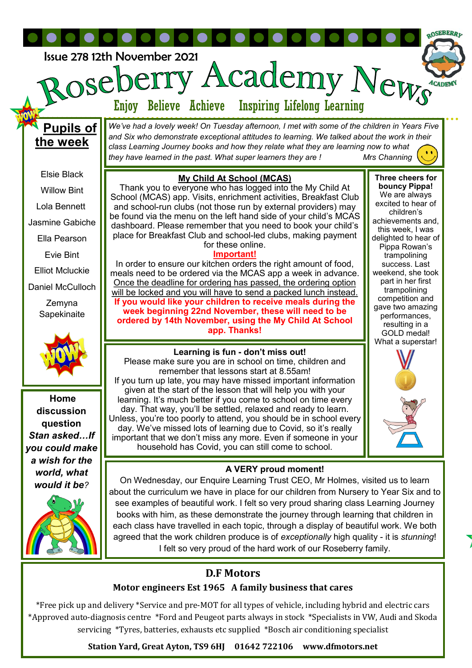

## **D.F Motors**

## **Motor engineers Est 1965 A family business that cares**

\*Free pick up and delivery \*Service and pre-MOT for all types of vehicle, including hybrid and electric cars \*Approved auto-diagnosis centre \*Ford and Peugeot parts always in stock \*Specialists in VW, Audi and Skoda servicing \*Tyres, batteries, exhausts etc supplied \*Bosch air conditioning specialist

**Station Yard, Great Ayton, TS9 6HJ 01642 722106 www.dfmotors.net**